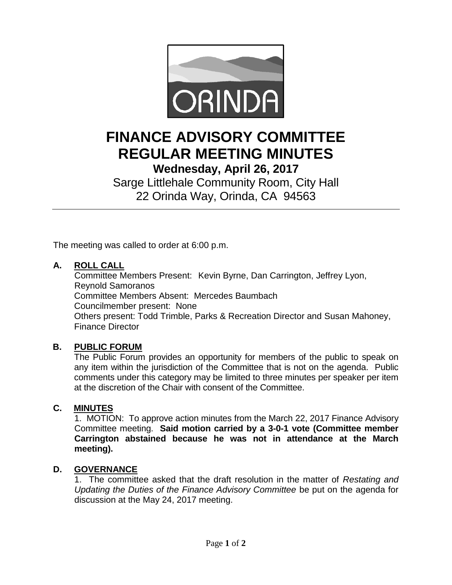

# **FINANCE ADVISORY COMMITTEE REGULAR MEETING MINUTES**

**Wednesday, April 26, 2017**

Sarge Littlehale Community Room, City Hall 22 Orinda Way, Orinda, CA 94563

The meeting was called to order at 6:00 p.m.

# **A. ROLL CALL**

Committee Members Present: Kevin Byrne, Dan Carrington, Jeffrey Lyon, Reynold Samoranos Committee Members Absent: Mercedes Baumbach Councilmember present: None Others present: Todd Trimble, Parks & Recreation Director and Susan Mahoney, Finance Director

# **B. PUBLIC FORUM**

The Public Forum provides an opportunity for members of the public to speak on any item within the jurisdiction of the Committee that is not on the agenda. Public comments under this category may be limited to three minutes per speaker per item at the discretion of the Chair with consent of the Committee.

# **C. MINUTES**

1. MOTION: To approve action minutes from the March 22, 2017 Finance Advisory Committee meeting. **Said motion carried by a 3-0-1 vote (Committee member Carrington abstained because he was not in attendance at the March meeting).** 

# **D. GOVERNANCE**

1. The committee asked that the draft resolution in the matter of *Restating and Updating the Duties of the Finance Advisory Committee* be put on the agenda for discussion at the May 24, 2017 meeting.